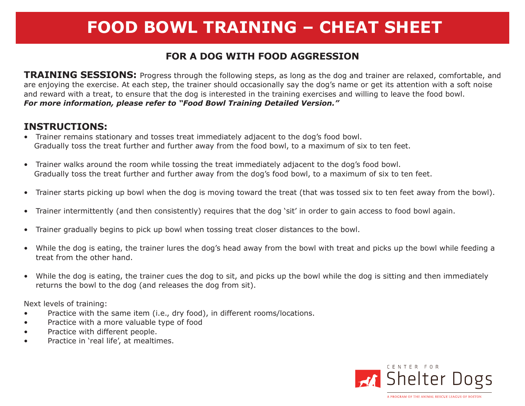# **FOOD BOWL TRAINING – CHEAT SHEET**

### **FOR A DOG WITH FOOD AGGRESSION**

**TRAINING SESSIONS:** Progress through the following steps, as long as the dog and trainer are relaxed, comfortable, and are enjoying the exercise. At each step, the trainer should occasionally say the dog's name or get its attention with a soft noise and reward with a treat, to ensure that the dog is interested in the training exercises and willing to leave the food bowl. *For more information, please refer to "Food Bowl Training Detailed Version."*

#### **INSTRUCTIONS:**

- Trainer remains stationary and tosses treat immediately adjacent to the dog's food bowl. Gradually toss the treat further and further away from the food bowl, to a maximum of six to ten feet.
- Trainer walks around the room while tossing the treat immediately adjacent to the dog's food bowl. Gradually toss the treat further and further away from the dog's food bowl, to a maximum of six to ten feet.
- Trainer starts picking up bowl when the dog is moving toward the treat (that was tossed six to ten feet away from the bowl).
- • Trainer intermittently (and then consistently) requires that the dog 'sit' in order to gain access to food bowl again.
- Trainer gradually begins to pick up bowl when tossing treat closer distances to the bowl.
- • While the dog is eating, the trainer lures the dog's head away from the bowl with treat and picks up the bowl while feeding a treat from the other hand.
- While the dog is eating, the trainer cues the dog to sit, and picks up the bowl while the dog is sitting and then immediately returns the bowl to the dog (and releases the dog from sit).

Next levels of training:

- Practice with the same item (i.e., dry food), in different rooms/locations.
- Practice with a more valuable type of food
- Practice with different people.
- • Practice in 'real life', at mealtimes.

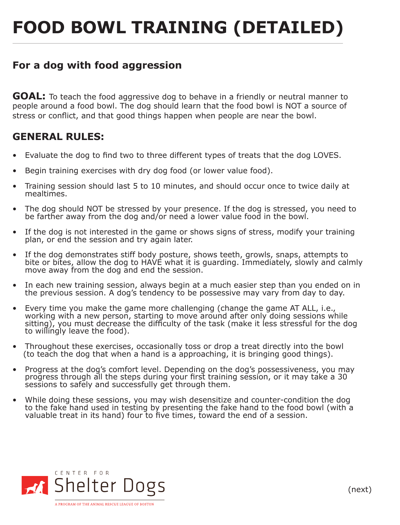# **FOOD BOWL TRAINING (DETAILED)**

#### **For a dog with food aggression**

**GOAL:** To teach the food aggressive dog to behave in a friendly or neutral manner to people around a food bowl. The dog should learn that the food bowl is NOT a source of stress or conflict, and that good things happen when people are near the bowl.

#### **GENERAL RULES:**

- Evaluate the dog to find two to three different types of treats that the dog LOVES.
- Begin training exercises with dry dog food (or lower value food).
- Training session should last 5 to 10 minutes, and should occur once to twice daily at mealtimes.
- The dog should NOT be stressed by your presence. If the dog is stressed, you need to be farther away from the dog and/or need a lower value food in the bowl.
- If the dog is not interested in the game or shows signs of stress, modify your training plan, or end the session and try again later.
- If the dog demonstrates stiff body posture, shows teeth, growls, snaps, attempts to bite or bites, allow the dog to HAVE what it is guarding. Immediately, slowly and calmly move away from the dog and end the session.
- In each new training session, always begin at a much easier step than you ended on in the previous session. A dog's tendency to be possessive may vary from day to day.
- Every time you make the game more challenging (change the game AT ALL, i.e., working with a new person, starting to move around after only doing sessions while sitting), you must decrease the difficulty of the task (make it less stressful for the dog to willingly leave the food).
- Throughout these exercises, occasionally toss or drop a treat directly into the bowl (to teach the dog that when a hand is a approaching, it is bringing good things).
- Progress at the dog's comfort level. Depending on the dog's possessiveness, you may progress through all the steps during your first training session, or it may take a 30 sessions to safely and successfully get through them.
- While doing these sessions, you may wish desensitize and counter-condition the dog to the fake hand used in testing by presenting the fake hand to the food bowl (with a valuable treat in its hand) four to five times, toward the end of a session.



(next)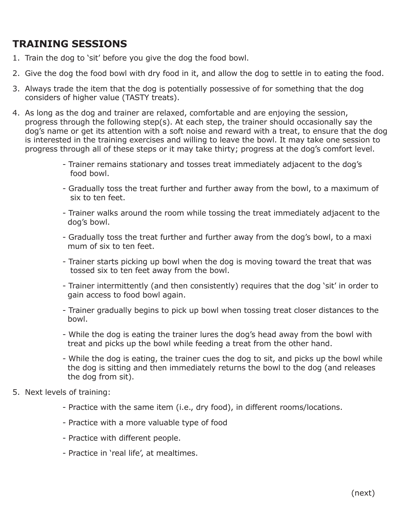# **TRAINING SESSIONS**

- 1. Train the dog to 'sit' before you give the dog the food bowl.
- 2. Give the dog the food bowl with dry food in it, and allow the dog to settle in to eating the food.
- 3. Always trade the item that the dog is potentially possessive of for something that the dog considers of higher value (TASTY treats).
- 4. As long as the dog and trainer are relaxed, comfortable and are enjoying the session, progress through the following step(s). At each step, the trainer should occasionally say the dog's name or get its attention with a soft noise and reward with a treat, to ensure that the dog is interested in the training exercises and willing to leave the bowl. It may take one session to progress through all of these steps or it may take thirty; progress at the dog's comfort level.
	- Trainer remains stationary and tosses treat immediately adjacent to the dog's food bowl.
	- Gradually toss the treat further and further away from the bowl, to a maximum of six to ten feet.
	- Trainer walks around the room while tossing the treat immediately adjacent to the dog's bowl.
	- Gradually toss the treat further and further away from the dog's bowl, to a maxi mum of six to ten feet.
	- Trainer starts picking up bowl when the dog is moving toward the treat that was tossed six to ten feet away from the bowl.
	- Trainer intermittently (and then consistently) requires that the dog 'sit' in order to gain access to food bowl again.
	- Trainer gradually begins to pick up bowl when tossing treat closer distances to the bowl.
	- While the dog is eating the trainer lures the dog's head away from the bowl with treat and picks up the bowl while feeding a treat from the other hand.
	- While the dog is eating, the trainer cues the dog to sit, and picks up the bowl while the dog is sitting and then immediately returns the bowl to the dog (and releases the dog from sit).
- 5. Next levels of training:
	- Practice with the same item (i.e., dry food), in different rooms/locations.
	- Practice with a more valuable type of food
	- Practice with different people.
	- Practice in 'real life', at mealtimes.